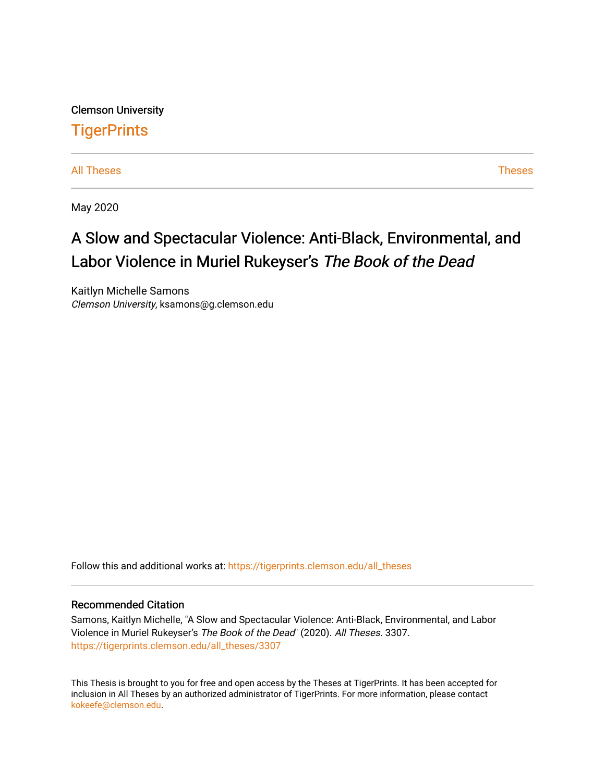Clemson University **TigerPrints** 

[All Theses](https://tigerprints.clemson.edu/all_theses) **Theses** [Theses](https://tigerprints.clemson.edu/theses) **Theses** 

May 2020

# A Slow and Spectacular Violence: Anti-Black, Environmental, and Labor Violence in Muriel Rukeyser's The Book of the Dead

Kaitlyn Michelle Samons Clemson University, ksamons@g.clemson.edu

Follow this and additional works at: [https://tigerprints.clemson.edu/all\\_theses](https://tigerprints.clemson.edu/all_theses?utm_source=tigerprints.clemson.edu%2Fall_theses%2F3307&utm_medium=PDF&utm_campaign=PDFCoverPages) 

#### Recommended Citation

Samons, Kaitlyn Michelle, "A Slow and Spectacular Violence: Anti-Black, Environmental, and Labor Violence in Muriel Rukeyser's The Book of the Dead" (2020). All Theses. 3307. [https://tigerprints.clemson.edu/all\\_theses/3307](https://tigerprints.clemson.edu/all_theses/3307?utm_source=tigerprints.clemson.edu%2Fall_theses%2F3307&utm_medium=PDF&utm_campaign=PDFCoverPages) 

This Thesis is brought to you for free and open access by the Theses at TigerPrints. It has been accepted for inclusion in All Theses by an authorized administrator of TigerPrints. For more information, please contact [kokeefe@clemson.edu](mailto:kokeefe@clemson.edu).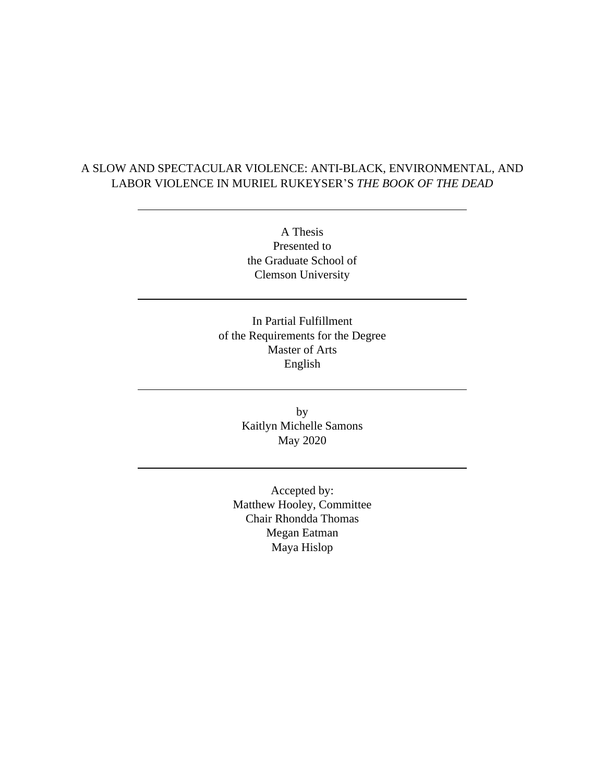### A SLOW AND SPECTACULAR VIOLENCE: ANTI-BLACK, ENVIRONMENTAL, AND LABOR VIOLENCE IN MURIEL RUKEYSER'S *THE BOOK OF THE DEAD*

A Thesis Presented to the Graduate School of Clemson University

In Partial Fulfillment of the Requirements for the Degree Master of Arts English

> by Kaitlyn Michelle Samons May 2020

Accepted by: Matthew Hooley, Committee Chair Rhondda Thomas Megan Eatman Maya Hislop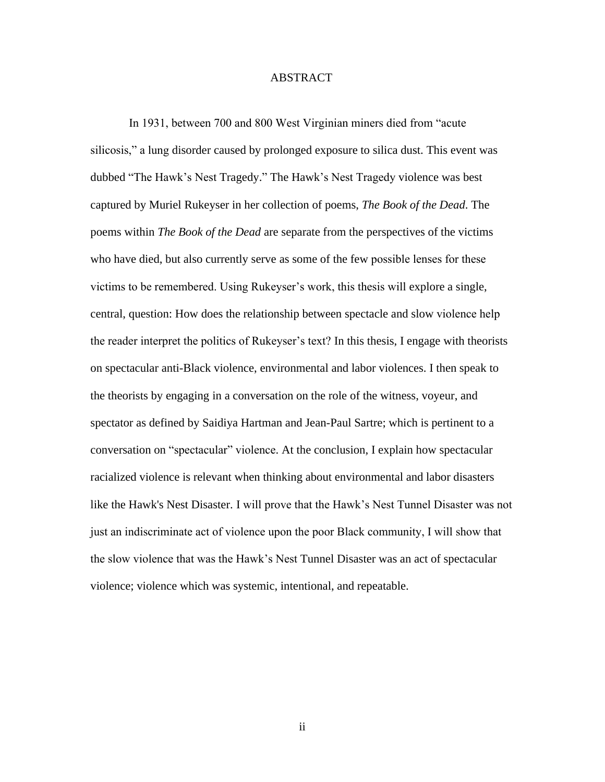#### ABSTRACT

In 1931, between 700 and 800 West Virginian miners died from "acute silicosis," a lung disorder caused by prolonged exposure to silica dust. This event was dubbed "The Hawk's Nest Tragedy." The Hawk's Nest Tragedy violence was best captured by Muriel Rukeyser in her collection of poems, *The Book of the Dead*. The poems within *The Book of the Dead* are separate from the perspectives of the victims who have died, but also currently serve as some of the few possible lenses for these victims to be remembered. Using Rukeyser's work, this thesis will explore a single, central, question: How does the relationship between spectacle and slow violence help the reader interpret the politics of Rukeyser's text? In this thesis, I engage with theorists on spectacular anti-Black violence, environmental and labor violences. I then speak to the theorists by engaging in a conversation on the role of the witness, voyeur, and spectator as defined by Saidiya Hartman and Jean-Paul Sartre; which is pertinent to a conversation on "spectacular" violence. At the conclusion, I explain how spectacular racialized violence is relevant when thinking about environmental and labor disasters like the Hawk's Nest Disaster. I will prove that the Hawk's Nest Tunnel Disaster was not just an indiscriminate act of violence upon the poor Black community, I will show that the slow violence that was the Hawk's Nest Tunnel Disaster was an act of spectacular violence; violence which was systemic, intentional, and repeatable.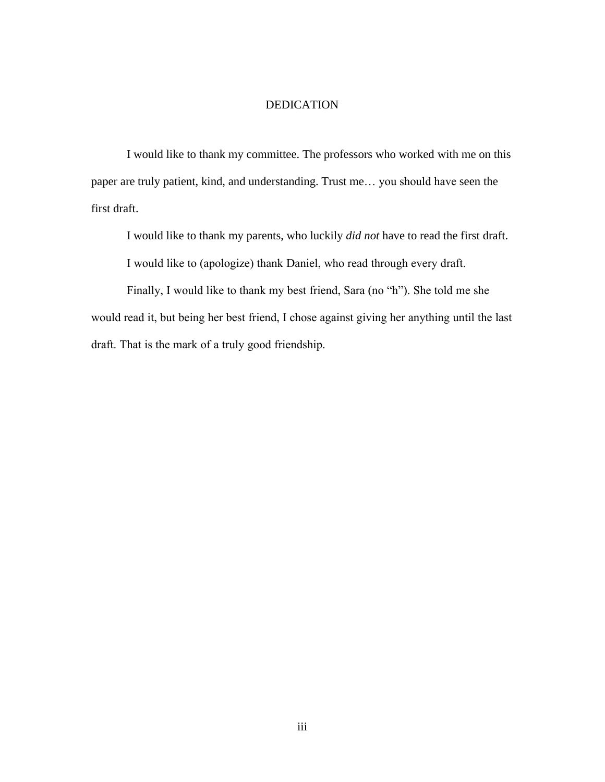#### DEDICATION

I would like to thank my committee. The professors who worked with me on this paper are truly patient, kind, and understanding. Trust me… you should have seen the first draft.

I would like to thank my parents, who luckily *did not* have to read the first draft.

I would like to (apologize) thank Daniel, who read through every draft.

 Finally, I would like to thank my best friend, Sara (no "h"). She told me she would read it, but being her best friend, I chose against giving her anything until the last draft. That is the mark of a truly good friendship.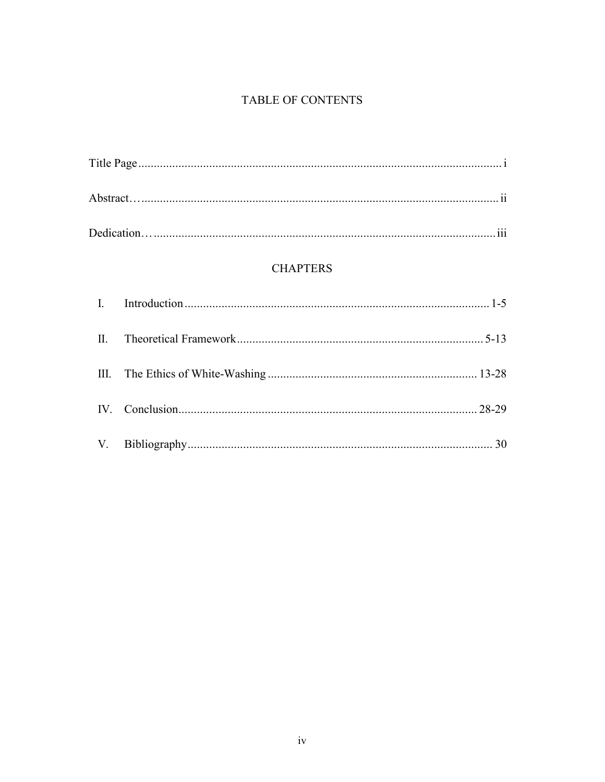## TABLE OF CONTENTS

## **CHAPTERS**

| $\mathbb{I}$ . |  |
|----------------|--|
|                |  |
|                |  |
|                |  |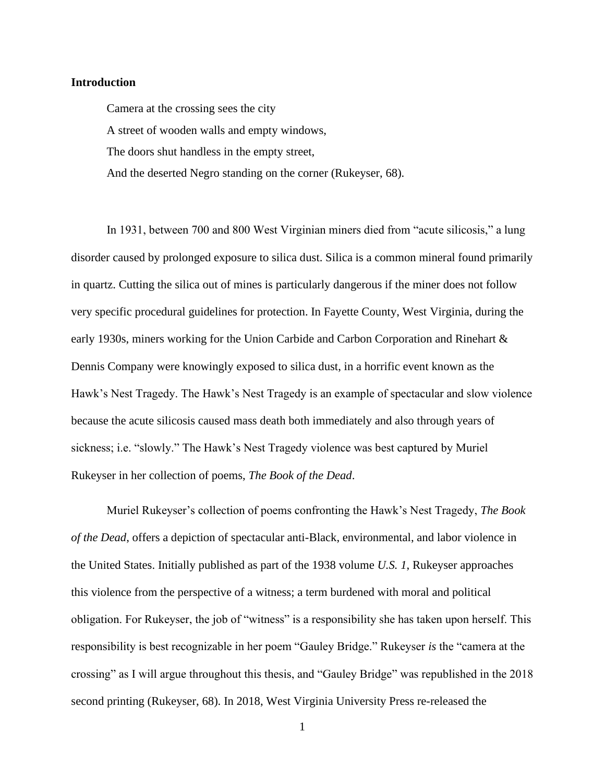#### **Introduction**

Camera at the crossing sees the city A street of wooden walls and empty windows, The doors shut handless in the empty street, And the deserted Negro standing on the corner (Rukeyser, 68).

In 1931, between 700 and 800 West Virginian miners died from "acute silicosis," a lung disorder caused by prolonged exposure to silica dust. Silica is a common mineral found primarily in quartz. Cutting the silica out of mines is particularly dangerous if the miner does not follow very specific procedural guidelines for protection. In Fayette County, West Virginia, during the early 1930s, miners working for the Union Carbide and Carbon Corporation and Rinehart & Dennis Company were knowingly exposed to silica dust, in a horrific event known as the Hawk's Nest Tragedy. The Hawk's Nest Tragedy is an example of spectacular and slow violence because the acute silicosis caused mass death both immediately and also through years of sickness; i.e. "slowly." The Hawk's Nest Tragedy violence was best captured by Muriel Rukeyser in her collection of poems, *The Book of the Dead*.

Muriel Rukeyser's collection of poems confronting the Hawk's Nest Tragedy, *The Book of the Dead*, offers a depiction of spectacular anti-Black, environmental, and labor violence in the United States. Initially published as part of the 1938 volume *U.S. 1*, Rukeyser approaches this violence from the perspective of a witness; a term burdened with moral and political obligation. For Rukeyser, the job of "witness" is a responsibility she has taken upon herself. This responsibility is best recognizable in her poem "Gauley Bridge." Rukeyser *is* the "camera at the crossing" as I will argue throughout this thesis, and "Gauley Bridge" was republished in the 2018 second printing (Rukeyser, 68). In 2018, West Virginia University Press re-released the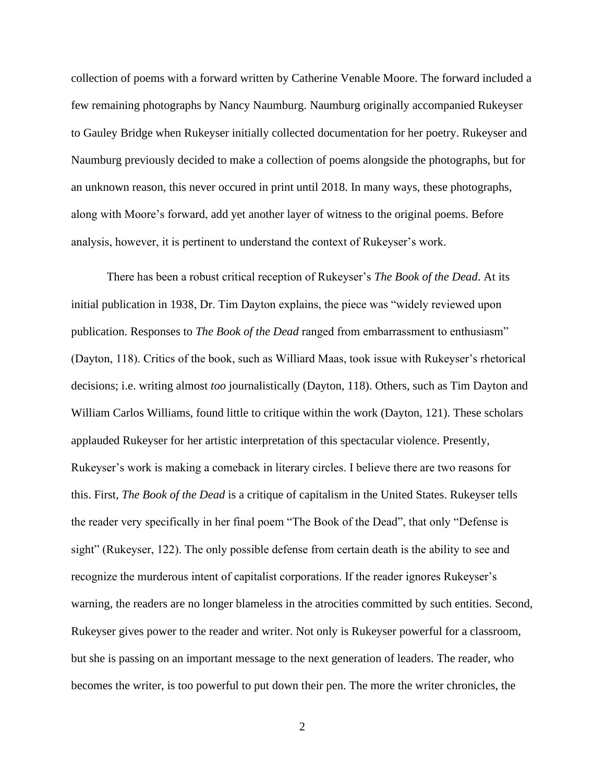collection of poems with a forward written by Catherine Venable Moore. The forward included a few remaining photographs by Nancy Naumburg. Naumburg originally accompanied Rukeyser to Gauley Bridge when Rukeyser initially collected documentation for her poetry. Rukeyser and Naumburg previously decided to make a collection of poems alongside the photographs, but for an unknown reason, this never occured in print until 2018. In many ways, these photographs, along with Moore's forward, add yet another layer of witness to the original poems. Before analysis, however, it is pertinent to understand the context of Rukeyser's work.

There has been a robust critical reception of Rukeyser's *The Book of the Dead*. At its initial publication in 1938, Dr. Tim Dayton explains, the piece was "widely reviewed upon publication. Responses to *The Book of the Dead* ranged from embarrassment to enthusiasm" (Dayton, 118). Critics of the book, such as Williard Maas, took issue with Rukeyser's rhetorical decisions; i.e. writing almost *too* journalistically (Dayton, 118). Others, such as Tim Dayton and William Carlos Williams, found little to critique within the work (Dayton, 121). These scholars applauded Rukeyser for her artistic interpretation of this spectacular violence. Presently, Rukeyser's work is making a comeback in literary circles. I believe there are two reasons for this. First, *The Book of the Dead* is a critique of capitalism in the United States. Rukeyser tells the reader very specifically in her final poem "The Book of the Dead", that only "Defense is sight" (Rukeyser, 122). The only possible defense from certain death is the ability to see and recognize the murderous intent of capitalist corporations. If the reader ignores Rukeyser's warning, the readers are no longer blameless in the atrocities committed by such entities. Second, Rukeyser gives power to the reader and writer. Not only is Rukeyser powerful for a classroom, but she is passing on an important message to the next generation of leaders. The reader, who becomes the writer, is too powerful to put down their pen. The more the writer chronicles, the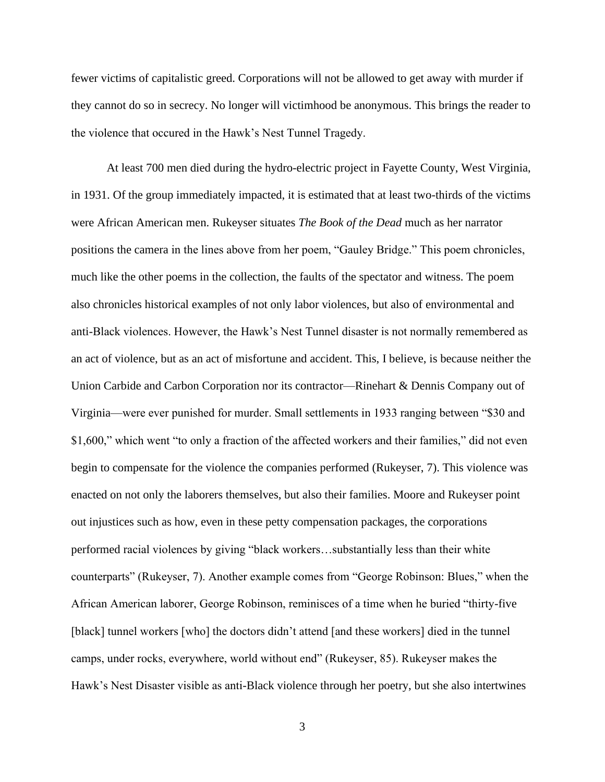fewer victims of capitalistic greed. Corporations will not be allowed to get away with murder if they cannot do so in secrecy. No longer will victimhood be anonymous. This brings the reader to the violence that occured in the Hawk's Nest Tunnel Tragedy.

At least 700 men died during the hydro-electric project in Fayette County, West Virginia, in 1931. Of the group immediately impacted, it is estimated that at least two-thirds of the victims were African American men. Rukeyser situates *The Book of the Dead* much as her narrator positions the camera in the lines above from her poem, "Gauley Bridge." This poem chronicles, much like the other poems in the collection, the faults of the spectator and witness. The poem also chronicles historical examples of not only labor violences, but also of environmental and anti-Black violences. However, the Hawk's Nest Tunnel disaster is not normally remembered as an act of violence, but as an act of misfortune and accident. This, I believe, is because neither the Union Carbide and Carbon Corporation nor its contractor—Rinehart & Dennis Company out of Virginia—were ever punished for murder. Small settlements in 1933 ranging between "\$30 and \$1,600," which went "to only a fraction of the affected workers and their families," did not even begin to compensate for the violence the companies performed (Rukeyser, 7). This violence was enacted on not only the laborers themselves, but also their families. Moore and Rukeyser point out injustices such as how, even in these petty compensation packages, the corporations performed racial violences by giving "black workers…substantially less than their white counterparts" (Rukeyser, 7). Another example comes from "George Robinson: Blues," when the African American laborer, George Robinson, reminisces of a time when he buried "thirty-five [black] tunnel workers [who] the doctors didn't attend [and these workers] died in the tunnel camps, under rocks, everywhere, world without end" (Rukeyser, 85). Rukeyser makes the Hawk's Nest Disaster visible as anti-Black violence through her poetry, but she also intertwines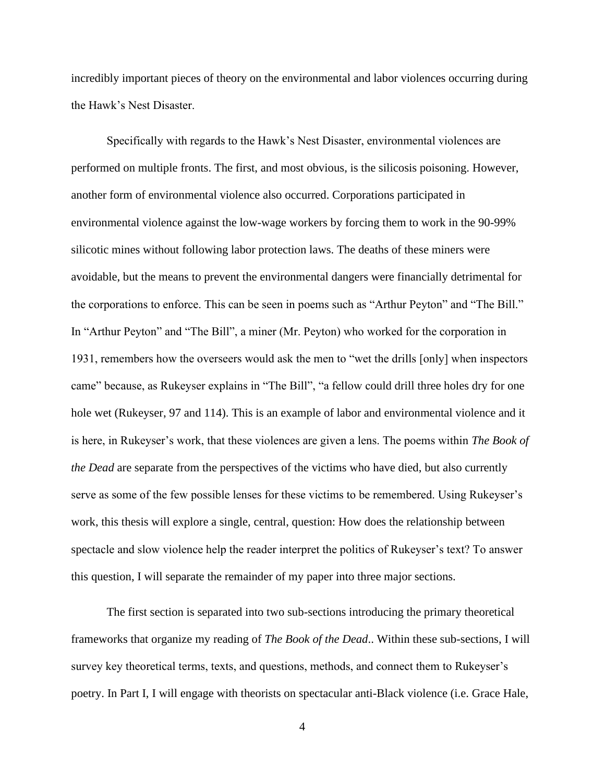incredibly important pieces of theory on the environmental and labor violences occurring during the Hawk's Nest Disaster.

Specifically with regards to the Hawk's Nest Disaster, environmental violences are performed on multiple fronts. The first, and most obvious, is the silicosis poisoning. However, another form of environmental violence also occurred. Corporations participated in environmental violence against the low-wage workers by forcing them to work in the 90-99% silicotic mines without following labor protection laws. The deaths of these miners were avoidable, but the means to prevent the environmental dangers were financially detrimental for the corporations to enforce. This can be seen in poems such as "Arthur Peyton" and "The Bill." In "Arthur Peyton" and "The Bill", a miner (Mr. Peyton) who worked for the corporation in 1931, remembers how the overseers would ask the men to "wet the drills [only] when inspectors came" because, as Rukeyser explains in "The Bill", "a fellow could drill three holes dry for one hole wet (Rukeyser, 97 and 114). This is an example of labor and environmental violence and it is here, in Rukeyser's work, that these violences are given a lens. The poems within *The Book of the Dead* are separate from the perspectives of the victims who have died, but also currently serve as some of the few possible lenses for these victims to be remembered. Using Rukeyser's work, this thesis will explore a single, central, question: How does the relationship between spectacle and slow violence help the reader interpret the politics of Rukeyser's text? To answer this question, I will separate the remainder of my paper into three major sections.

The first section is separated into two sub-sections introducing the primary theoretical frameworks that organize my reading of *The Book of the Dead*.. Within these sub-sections, I will survey key theoretical terms, texts, and questions, methods, and connect them to Rukeyser's poetry. In Part I, I will engage with theorists on spectacular anti-Black violence (i.e. Grace Hale,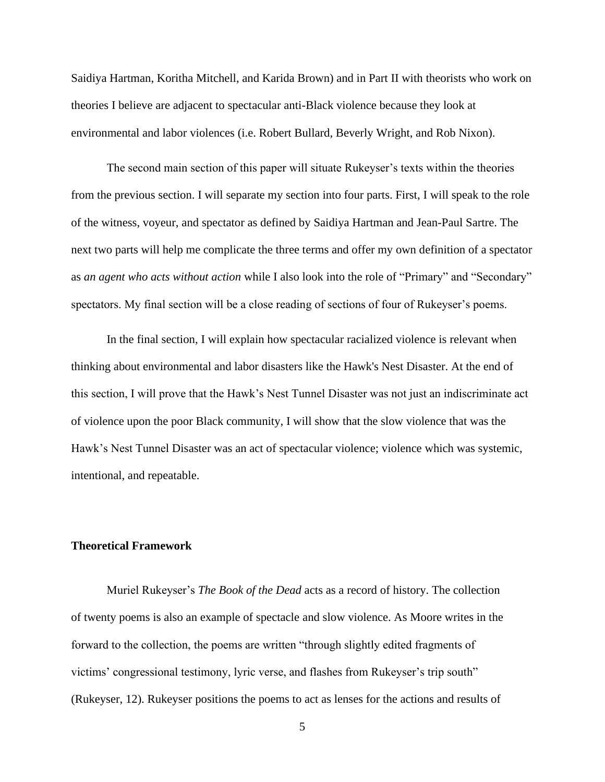Saidiya Hartman, Koritha Mitchell, and Karida Brown) and in Part II with theorists who work on theories I believe are adjacent to spectacular anti-Black violence because they look at environmental and labor violences (i.e. Robert Bullard, Beverly Wright, and Rob Nixon).

The second main section of this paper will situate Rukeyser's texts within the theories from the previous section. I will separate my section into four parts. First, I will speak to the role of the witness, voyeur, and spectator as defined by Saidiya Hartman and Jean-Paul Sartre. The next two parts will help me complicate the three terms and offer my own definition of a spectator as *an agent who acts without action* while I also look into the role of "Primary" and "Secondary" spectators. My final section will be a close reading of sections of four of Rukeyser's poems.

In the final section, I will explain how spectacular racialized violence is relevant when thinking about environmental and labor disasters like the Hawk's Nest Disaster. At the end of this section, I will prove that the Hawk's Nest Tunnel Disaster was not just an indiscriminate act of violence upon the poor Black community, I will show that the slow violence that was the Hawk's Nest Tunnel Disaster was an act of spectacular violence; violence which was systemic, intentional, and repeatable.

#### **Theoretical Framework**

Muriel Rukeyser's *The Book of the Dead* acts as a record of history. The collection of twenty poems is also an example of spectacle and slow violence. As Moore writes in the forward to the collection, the poems are written "through slightly edited fragments of victims' congressional testimony, lyric verse, and flashes from Rukeyser's trip south" (Rukeyser, 12). Rukeyser positions the poems to act as lenses for the actions and results of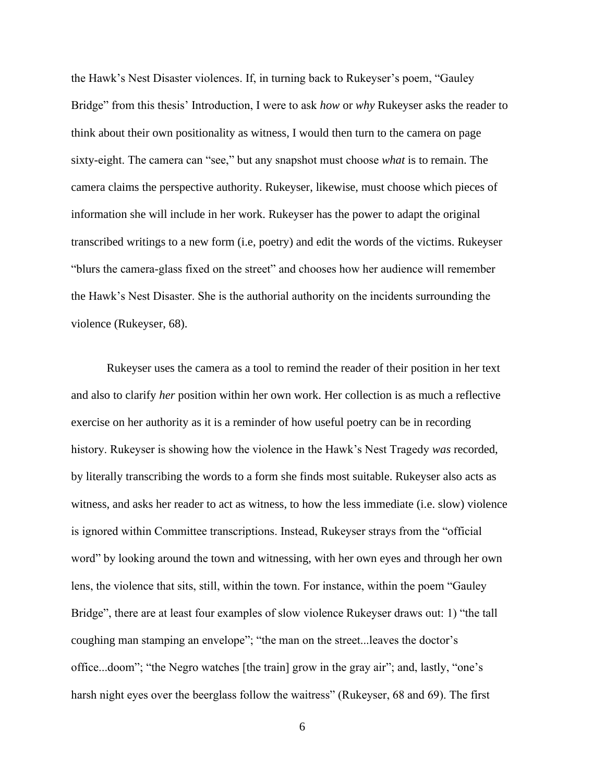the Hawk's Nest Disaster violences. If, in turning back to Rukeyser's poem, "Gauley Bridge" from this thesis' Introduction, I were to ask *how* or *why* Rukeyser asks the reader to think about their own positionality as witness, I would then turn to the camera on page sixty-eight. The camera can "see," but any snapshot must choose *what* is to remain. The camera claims the perspective authority. Rukeyser, likewise, must choose which pieces of information she will include in her work. Rukeyser has the power to adapt the original transcribed writings to a new form (i.e, poetry) and edit the words of the victims. Rukeyser "blurs the camera-glass fixed on the street" and chooses how her audience will remember the Hawk's Nest Disaster. She is the authorial authority on the incidents surrounding the violence (Rukeyser, 68).

Rukeyser uses the camera as a tool to remind the reader of their position in her text and also to clarify *her* position within her own work. Her collection is as much a reflective exercise on her authority as it is a reminder of how useful poetry can be in recording history. Rukeyser is showing how the violence in the Hawk's Nest Tragedy *was* recorded, by literally transcribing the words to a form she finds most suitable. Rukeyser also acts as witness, and asks her reader to act as witness, to how the less immediate (i.e. slow) violence is ignored within Committee transcriptions. Instead, Rukeyser strays from the "official word" by looking around the town and witnessing, with her own eyes and through her own lens, the violence that sits, still, within the town. For instance, within the poem "Gauley Bridge", there are at least four examples of slow violence Rukeyser draws out: 1) "the tall coughing man stamping an envelope"; "the man on the street...leaves the doctor's office...doom"; "the Negro watches [the train] grow in the gray air"; and, lastly, "one's harsh night eyes over the beerglass follow the waitress" (Rukeyser, 68 and 69). The first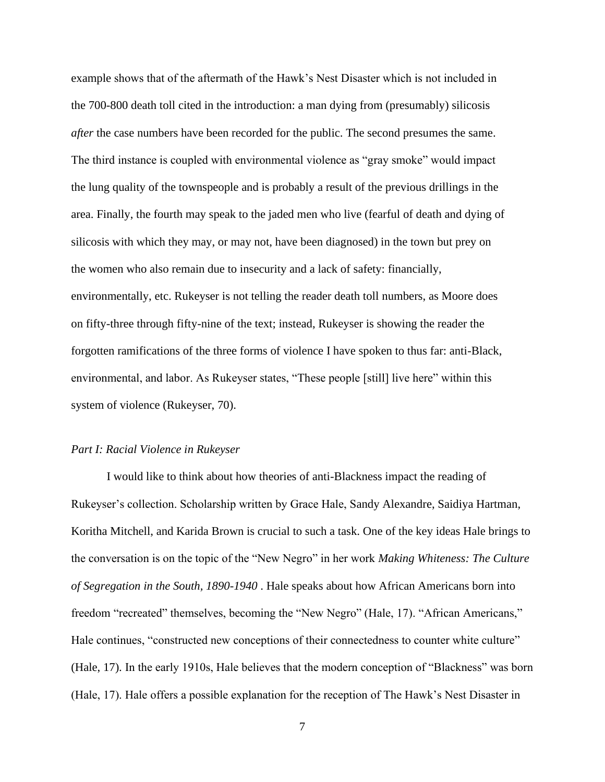example shows that of the aftermath of the Hawk's Nest Disaster which is not included in the 700-800 death toll cited in the introduction: a man dying from (presumably) silicosis *after* the case numbers have been recorded for the public. The second presumes the same. The third instance is coupled with environmental violence as "gray smoke" would impact the lung quality of the townspeople and is probably a result of the previous drillings in the area. Finally, the fourth may speak to the jaded men who live (fearful of death and dying of silicosis with which they may, or may not, have been diagnosed) in the town but prey on the women who also remain due to insecurity and a lack of safety: financially, environmentally, etc. Rukeyser is not telling the reader death toll numbers, as Moore does on fifty-three through fifty-nine of the text; instead, Rukeyser is showing the reader the forgotten ramifications of the three forms of violence I have spoken to thus far: anti-Black, environmental, and labor. As Rukeyser states, "These people [still] live here" within this system of violence (Rukeyser, 70).

#### *Part I: Racial Violence in Rukeyser*

I would like to think about how theories of anti-Blackness impact the reading of Rukeyser's collection. Scholarship written by Grace Hale, Sandy Alexandre, Saidiya Hartman, Koritha Mitchell, and Karida Brown is crucial to such a task. One of the key ideas Hale brings to the conversation is on the topic of the "New Negro" in her work *Making Whiteness: The Culture of Segregation in the South, 1890-1940* . Hale speaks about how African Americans born into freedom "recreated" themselves, becoming the "New Negro" (Hale, 17). "African Americans," Hale continues, "constructed new conceptions of their connectedness to counter white culture" (Hale, 17). In the early 1910s, Hale believes that the modern conception of "Blackness" was born (Hale, 17). Hale offers a possible explanation for the reception of The Hawk's Nest Disaster in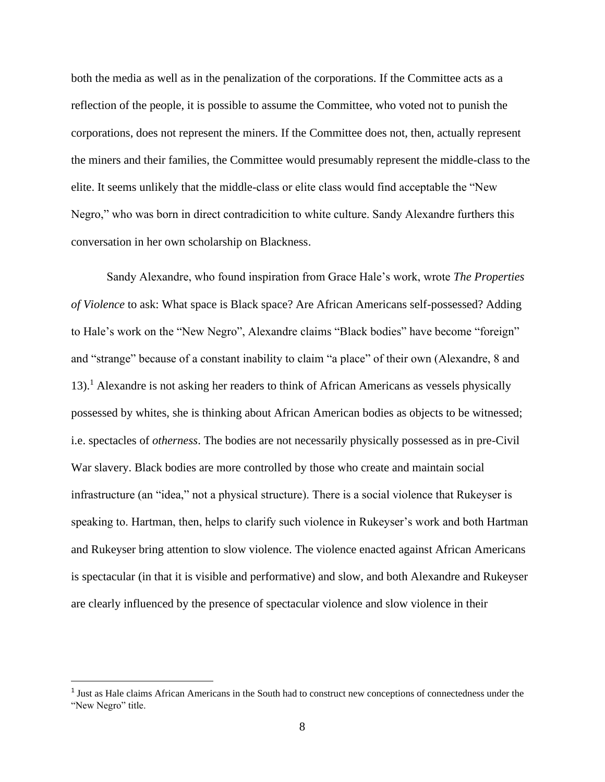both the media as well as in the penalization of the corporations. If the Committee acts as a reflection of the people, it is possible to assume the Committee, who voted not to punish the corporations, does not represent the miners. If the Committee does not, then, actually represent the miners and their families, the Committee would presumably represent the middle-class to the elite. It seems unlikely that the middle-class or elite class would find acceptable the "New Negro," who was born in direct contradicition to white culture. Sandy Alexandre furthers this conversation in her own scholarship on Blackness.

Sandy Alexandre, who found inspiration from Grace Hale's work, wrote *The Properties of Violence* to ask: What space is Black space? Are African Americans self-possessed? Adding to Hale's work on the "New Negro", Alexandre claims "Black bodies" have become "foreign" and "strange" because of a constant inability to claim "a place" of their own (Alexandre, 8 and 13).<sup>1</sup> Alexandre is not asking her readers to think of African Americans as vessels physically possessed by whites, she is thinking about African American bodies as objects to be witnessed; i.e. spectacles of *otherness*. The bodies are not necessarily physically possessed as in pre-Civil War slavery. Black bodies are more controlled by those who create and maintain social infrastructure (an "idea," not a physical structure). There is a social violence that Rukeyser is speaking to. Hartman, then, helps to clarify such violence in Rukeyser's work and both Hartman and Rukeyser bring attention to slow violence. The violence enacted against African Americans is spectacular (in that it is visible and performative) and slow, and both Alexandre and Rukeyser are clearly influenced by the presence of spectacular violence and slow violence in their

<sup>&</sup>lt;sup>1</sup> Just as Hale claims African Americans in the South had to construct new conceptions of connectedness under the "New Negro" title.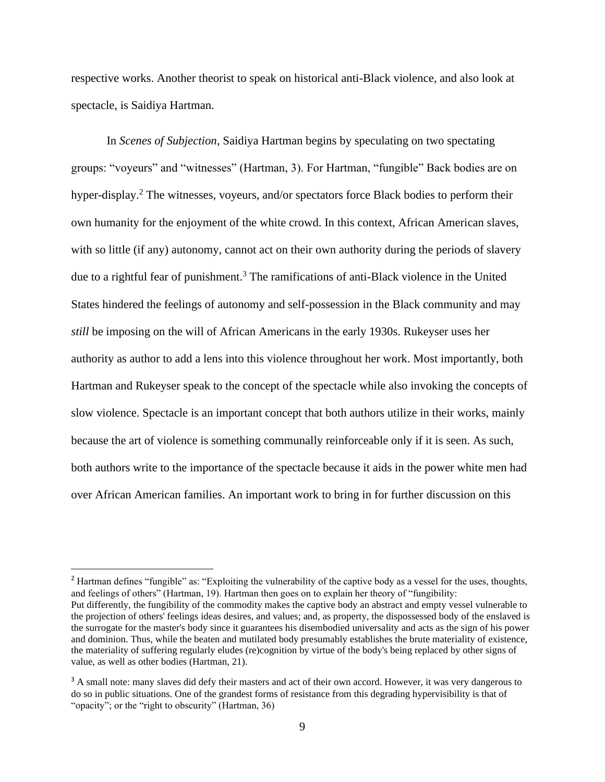respective works. Another theorist to speak on historical anti-Black violence, and also look at spectacle, is Saidiya Hartman.

In *Scenes of Subjection*, Saidiya Hartman begins by speculating on two spectating groups: "voyeurs" and "witnesses" (Hartman, 3). For Hartman, "fungible" Back bodies are on hyper-display.<sup>2</sup> The witnesses, voyeurs, and/or spectators force Black bodies to perform their own humanity for the enjoyment of the white crowd. In this context, African American slaves, with so little (if any) autonomy, cannot act on their own authority during the periods of slavery due to a rightful fear of punishment.<sup>3</sup> The ramifications of anti-Black violence in the United States hindered the feelings of autonomy and self-possession in the Black community and may *still* be imposing on the will of African Americans in the early 1930s. Rukeyser uses her authority as author to add a lens into this violence throughout her work. Most importantly, both Hartman and Rukeyser speak to the concept of the spectacle while also invoking the concepts of slow violence. Spectacle is an important concept that both authors utilize in their works, mainly because the art of violence is something communally reinforceable only if it is seen. As such, both authors write to the importance of the spectacle because it aids in the power white men had over African American families. An important work to bring in for further discussion on this

<sup>&</sup>lt;sup>2</sup> Hartman defines "fungible" as: "Exploiting the vulnerability of the captive body as a vessel for the uses, thoughts, and feelings of others" (Hartman, 19). Hartman then goes on to explain her theory of "fungibility: Put differently, the fungibility of the commodity makes the captive body an abstract and empty vessel vulnerable to the projection of others' feelings ideas desires, and values; and, as property, the dispossessed body of the enslaved is the surrogate for the master's body since it guarantees his disembodied universality and acts as the sign of his power and dominion. Thus, while the beaten and mutilated body presumably establishes the brute materiality of existence, the materiality of suffering regularly eludes (re)cognition by virtue of the body's being replaced by other signs of value, as well as other bodies (Hartman, 21).

<sup>&</sup>lt;sup>3</sup> A small note: many slaves did defy their masters and act of their own accord. However, it was very dangerous to do so in public situations. One of the grandest forms of resistance from this degrading hypervisibility is that of "opacity"; or the "right to obscurity" (Hartman, 36)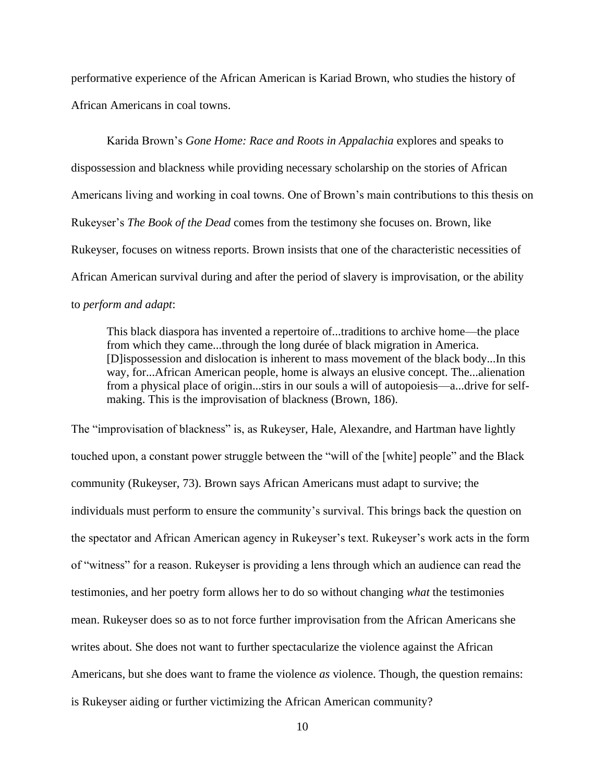performative experience of the African American is Kariad Brown, who studies the history of African Americans in coal towns.

Karida Brown's *Gone Home: Race and Roots in Appalachia* explores and speaks to dispossession and blackness while providing necessary scholarship on the stories of African Americans living and working in coal towns. One of Brown's main contributions to this thesis on Rukeyser's *The Book of the Dead* comes from the testimony she focuses on. Brown, like Rukeyser, focuses on witness reports. Brown insists that one of the characteristic necessities of African American survival during and after the period of slavery is improvisation, or the ability to *perform and adapt*:

This black diaspora has invented a repertoire of...traditions to archive home—the place from which they came...through the long durée of black migration in America. [D]ispossession and dislocation is inherent to mass movement of the black body...In this way, for...African American people, home is always an elusive concept. The...alienation from a physical place of origin...stirs in our souls a will of autopoiesis—a...drive for selfmaking. This is the improvisation of blackness (Brown, 186).

The "improvisation of blackness" is, as Rukeyser, Hale, Alexandre, and Hartman have lightly touched upon, a constant power struggle between the "will of the [white] people" and the Black community (Rukeyser, 73). Brown says African Americans must adapt to survive; the individuals must perform to ensure the community's survival. This brings back the question on the spectator and African American agency in Rukeyser's text. Rukeyser's work acts in the form of "witness" for a reason. Rukeyser is providing a lens through which an audience can read the testimonies, and her poetry form allows her to do so without changing *what* the testimonies mean. Rukeyser does so as to not force further improvisation from the African Americans she writes about. She does not want to further spectacularize the violence against the African Americans, but she does want to frame the violence *as* violence. Though, the question remains: is Rukeyser aiding or further victimizing the African American community?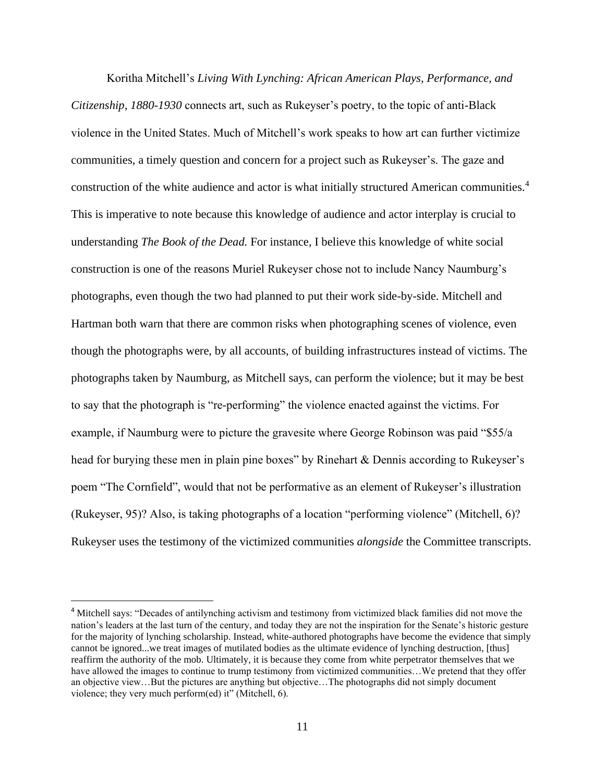Koritha Mitchell's *Living With Lynching: African American Plays, Performance, and Citizenship, 1880-1930* connects art, such as Rukeyser's poetry, to the topic of anti-Black violence in the United States. Much of Mitchell's work speaks to how art can further victimize communities, a timely question and concern for a project such as Rukeyser's. The gaze and construction of the white audience and actor is what initially structured American communities.<sup>4</sup> This is imperative to note because this knowledge of audience and actor interplay is crucial to understanding *The Book of the Dead.* For instance, I believe this knowledge of white social construction is one of the reasons Muriel Rukeyser chose not to include Nancy Naumburg's photographs, even though the two had planned to put their work side-by-side. Mitchell and Hartman both warn that there are common risks when photographing scenes of violence, even though the photographs were, by all accounts, of building infrastructures instead of victims. The photographs taken by Naumburg, as Mitchell says, can perform the violence; but it may be best to say that the photograph is "re-performing" the violence enacted against the victims. For example, if Naumburg were to picture the gravesite where George Robinson was paid "\$55/a head for burying these men in plain pine boxes" by Rinehart & Dennis according to Rukeyser's poem "The Cornfield", would that not be performative as an element of Rukeyser's illustration (Rukeyser, 95)? Also, is taking photographs of a location "performing violence" (Mitchell, 6)? Rukeyser uses the testimony of the victimized communities *alongside* the Committee transcripts.

<sup>4</sup> Mitchell says: "Decades of antilynching activism and testimony from victimized black families did not move the nation's leaders at the last turn of the century, and today they are not the inspiration for the Senate's historic gesture for the majority of lynching scholarship. Instead, white-authored photographs have become the evidence that simply cannot be ignored...we treat images of mutilated bodies as the ultimate evidence of lynching destruction, [thus] reaffirm the authority of the mob. Ultimately, it is because they come from white perpetrator themselves that we have allowed the images to continue to trump testimony from victimized communities...We pretend that they offer an objective view…But the pictures are anything but objective…The photographs did not simply document violence; they very much perform(ed) it" (Mitchell, 6).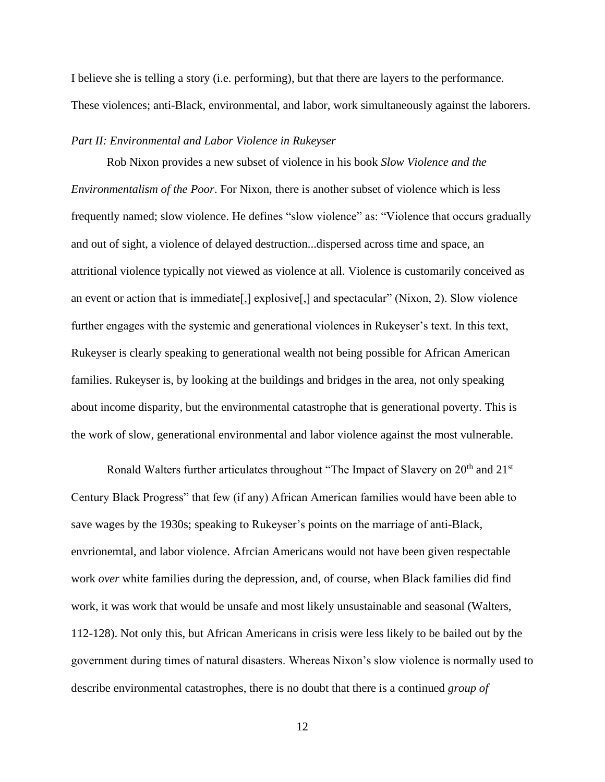I believe she is telling a story (i.e. performing), but that there are layers to the performance. These violences; anti-Black, environmental, and labor, work simultaneously against the laborers.

#### *Part II: Environmental and Labor Violence in Rukeyser*

Rob Nixon provides a new subset of violence in his book *Slow Violence and the Environmentalism of the Poor*. For Nixon, there is another subset of violence which is less frequently named; slow violence. He defines "slow violence" as: "Violence that occurs gradually and out of sight, a violence of delayed destruction...dispersed across time and space, an attritional violence typically not viewed as violence at all. Violence is customarily conceived as an event or action that is immediate[,] explosive[,] and spectacular" (Nixon, 2). Slow violence further engages with the systemic and generational violences in Rukeyser's text. In this text, Rukeyser is clearly speaking to generational wealth not being possible for African American families. Rukeyser is, by looking at the buildings and bridges in the area, not only speaking about income disparity, but the environmental catastrophe that is generational poverty. This is the work of slow, generational environmental and labor violence against the most vulnerable.

Ronald Walters further articulates throughout "The Impact of Slavery on  $20<sup>th</sup>$  and  $21<sup>st</sup>$ Century Black Progress" that few (if any) African American families would have been able to save wages by the 1930s; speaking to Rukeyser's points on the marriage of anti-Black, envrionemtal, and labor violence. Afrcian Americans would not have been given respectable work *over* white families during the depression, and, of course, when Black families did find work, it was work that would be unsafe and most likely unsustainable and seasonal (Walters, 112-128). Not only this, but African Americans in crisis were less likely to be bailed out by the government during times of natural disasters. Whereas Nixon's slow violence is normally used to describe environmental catastrophes, there is no doubt that there is a continued *group of*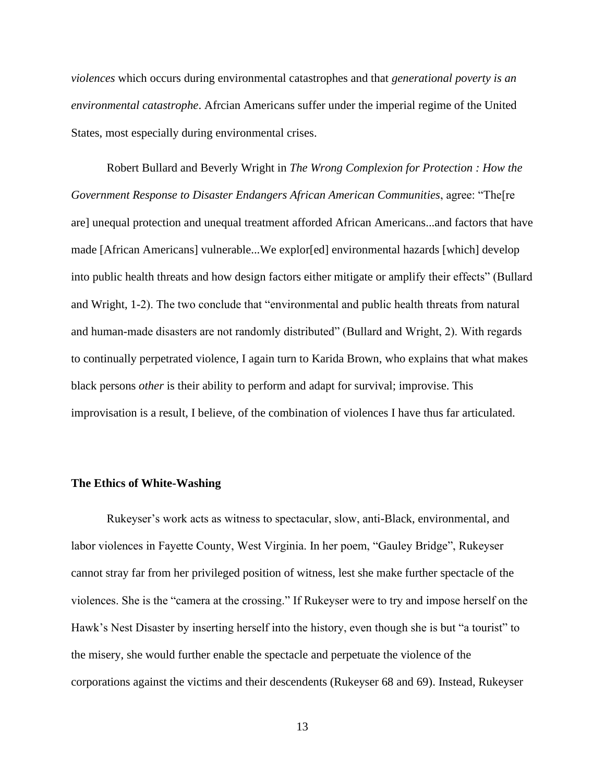*violences* which occurs during environmental catastrophes and that *generational poverty is an environmental catastrophe*. Afrcian Americans suffer under the imperial regime of the United States, most especially during environmental crises.

Robert Bullard and Beverly Wright in *The Wrong Complexion for Protection : How the Government Response to Disaster Endangers African American Communities*, agree: "The[re are] unequal protection and unequal treatment afforded African Americans...and factors that have made [African Americans] vulnerable...We explor[ed] environmental hazards [which] develop into public health threats and how design factors either mitigate or amplify their effects" (Bullard and Wright, 1-2). The two conclude that "environmental and public health threats from natural and human-made disasters are not randomly distributed" (Bullard and Wright, 2). With regards to continually perpetrated violence, I again turn to Karida Brown, who explains that what makes black persons *other* is their ability to perform and adapt for survival; improvise. This improvisation is a result, I believe, of the combination of violences I have thus far articulated.

#### **The Ethics of White-Washing**

Rukeyser's work acts as witness to spectacular, slow, anti-Black, environmental, and labor violences in Fayette County, West Virginia. In her poem, "Gauley Bridge", Rukeyser cannot stray far from her privileged position of witness, lest she make further spectacle of the violences. She is the "camera at the crossing." If Rukeyser were to try and impose herself on the Hawk's Nest Disaster by inserting herself into the history, even though she is but "a tourist" to the misery, she would further enable the spectacle and perpetuate the violence of the corporations against the victims and their descendents (Rukeyser 68 and 69). Instead, Rukeyser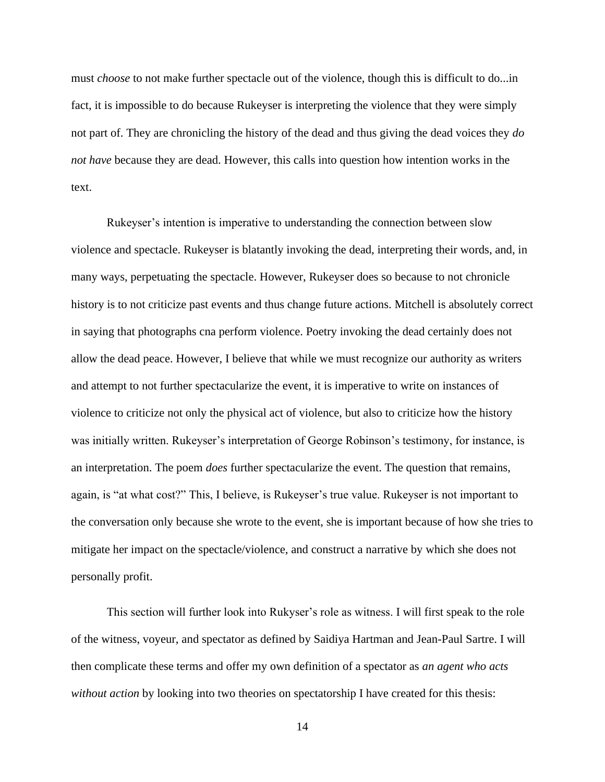must *choose* to not make further spectacle out of the violence, though this is difficult to do...in fact, it is impossible to do because Rukeyser is interpreting the violence that they were simply not part of. They are chronicling the history of the dead and thus giving the dead voices they *do not have* because they are dead. However, this calls into question how intention works in the text.

Rukeyser's intention is imperative to understanding the connection between slow violence and spectacle. Rukeyser is blatantly invoking the dead, interpreting their words, and, in many ways, perpetuating the spectacle. However, Rukeyser does so because to not chronicle history is to not criticize past events and thus change future actions. Mitchell is absolutely correct in saying that photographs cna perform violence. Poetry invoking the dead certainly does not allow the dead peace. However, I believe that while we must recognize our authority as writers and attempt to not further spectacularize the event, it is imperative to write on instances of violence to criticize not only the physical act of violence, but also to criticize how the history was initially written. Rukeyser's interpretation of George Robinson's testimony, for instance, is an interpretation. The poem *does* further spectacularize the event. The question that remains, again, is "at what cost?" This, I believe, is Rukeyser's true value. Rukeyser is not important to the conversation only because she wrote to the event, she is important because of how she tries to mitigate her impact on the spectacle/violence, and construct a narrative by which she does not personally profit.

This section will further look into Rukyser's role as witness. I will first speak to the role of the witness, voyeur, and spectator as defined by Saidiya Hartman and Jean-Paul Sartre. I will then complicate these terms and offer my own definition of a spectator as *an agent who acts without action* by looking into two theories on spectatorship I have created for this thesis: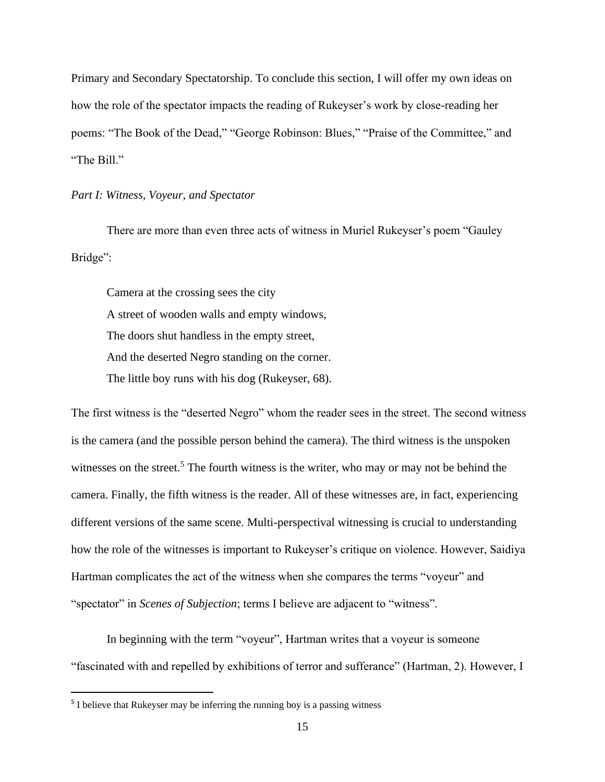Primary and Secondary Spectatorship. To conclude this section, I will offer my own ideas on how the role of the spectator impacts the reading of Rukeyser's work by close-reading her poems: "The Book of the Dead," "George Robinson: Blues," "Praise of the Committee," and "The Bill."

#### *Part I: Witness, Voyeur, and Spectator*

There are more than even three acts of witness in Muriel Rukeyser's poem "Gauley Bridge":

Camera at the crossing sees the city A street of wooden walls and empty windows, The doors shut handless in the empty street, And the deserted Negro standing on the corner. The little boy runs with his dog (Rukeyser, 68).

The first witness is the "deserted Negro" whom the reader sees in the street. The second witness is the camera (and the possible person behind the camera). The third witness is the unspoken witnesses on the street.<sup>5</sup> The fourth witness is the writer, who may or may not be behind the camera. Finally, the fifth witness is the reader. All of these witnesses are, in fact, experiencing different versions of the same scene. Multi-perspectival witnessing is crucial to understanding how the role of the witnesses is important to Rukeyser's critique on violence. However, Saidiya Hartman complicates the act of the witness when she compares the terms "voyeur" and "spectator" in *Scenes of Subjection*; terms I believe are adjacent to "witness"*.*

In beginning with the term "voyeur", Hartman writes that a voyeur is someone "fascinated with and repelled by exhibitions of terror and sufferance" (Hartman, 2). However, I

<sup>&</sup>lt;sup>5</sup> I believe that Rukeyser may be inferring the running boy is a passing witness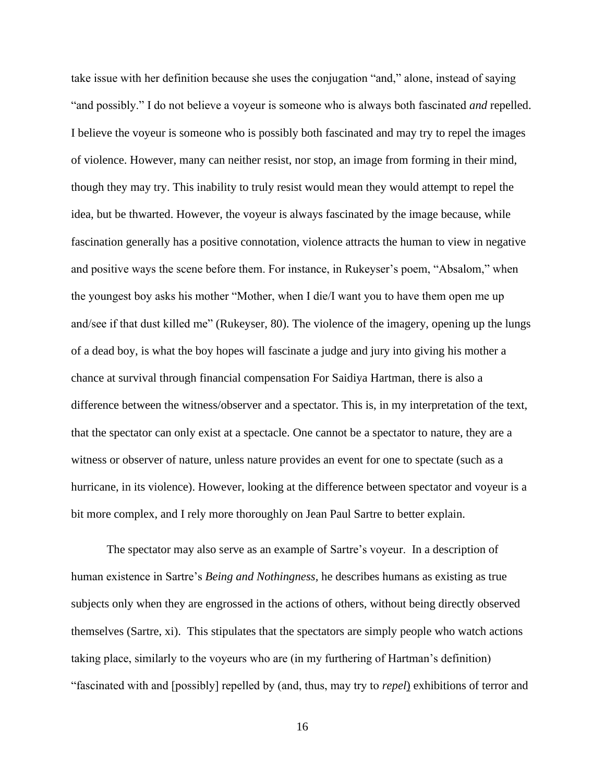take issue with her definition because she uses the conjugation "and," alone, instead of saying "and possibly." I do not believe a voyeur is someone who is always both fascinated *and* repelled. I believe the voyeur is someone who is possibly both fascinated and may try to repel the images of violence. However, many can neither resist, nor stop, an image from forming in their mind, though they may try. This inability to truly resist would mean they would attempt to repel the idea, but be thwarted. However, the voyeur is always fascinated by the image because, while fascination generally has a positive connotation, violence attracts the human to view in negative and positive ways the scene before them. For instance, in Rukeyser's poem, "Absalom," when the youngest boy asks his mother "Mother, when I die/I want you to have them open me up and/see if that dust killed me" (Rukeyser, 80). The violence of the imagery, opening up the lungs of a dead boy, is what the boy hopes will fascinate a judge and jury into giving his mother a chance at survival through financial compensation For Saidiya Hartman, there is also a difference between the witness/observer and a spectator. This is, in my interpretation of the text, that the spectator can only exist at a spectacle. One cannot be a spectator to nature, they are a witness or observer of nature, unless nature provides an event for one to spectate (such as a hurricane, in its violence). However, looking at the difference between spectator and voyeur is a bit more complex, and I rely more thoroughly on Jean Paul Sartre to better explain.

The spectator may also serve as an example of Sartre's voyeur. In a description of human existence in Sartre's *Being and Nothingness,* he describes humans as existing as true subjects only when they are engrossed in the actions of others, without being directly observed themselves (Sartre, xi). This stipulates that the spectators are simply people who watch actions taking place, similarly to the voyeurs who are (in my furthering of Hartman's definition) "fascinated with and [possibly] repelled by (and, thus, may try to *repel*) exhibitions of terror and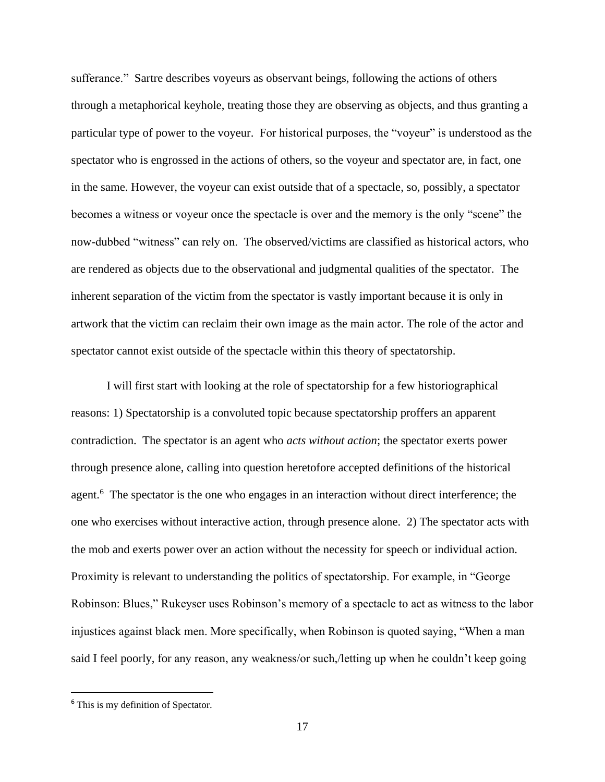sufferance." Sartre describes voyeurs as observant beings, following the actions of others through a metaphorical keyhole, treating those they are observing as objects, and thus granting a particular type of power to the voyeur. For historical purposes, the "voyeur" is understood as the spectator who is engrossed in the actions of others, so the voyeur and spectator are, in fact, one in the same. However, the voyeur can exist outside that of a spectacle, so, possibly, a spectator becomes a witness or voyeur once the spectacle is over and the memory is the only "scene" the now-dubbed "witness" can rely on. The observed/victims are classified as historical actors, who are rendered as objects due to the observational and judgmental qualities of the spectator. The inherent separation of the victim from the spectator is vastly important because it is only in artwork that the victim can reclaim their own image as the main actor. The role of the actor and spectator cannot exist outside of the spectacle within this theory of spectatorship.

I will first start with looking at the role of spectatorship for a few historiographical reasons: 1) Spectatorship is a convoluted topic because spectatorship proffers an apparent contradiction. The spectator is an agent who *acts without action*; the spectator exerts power through presence alone, calling into question heretofore accepted definitions of the historical agent.<sup>6</sup> The spectator is the one who engages in an interaction without direct interference; the one who exercises without interactive action, through presence alone. 2) The spectator acts with the mob and exerts power over an action without the necessity for speech or individual action. Proximity is relevant to understanding the politics of spectatorship. For example, in "George Robinson: Blues," Rukeyser uses Robinson's memory of a spectacle to act as witness to the labor injustices against black men. More specifically, when Robinson is quoted saying, "When a man said I feel poorly, for any reason, any weakness/or such,/letting up when he couldn't keep going

<sup>&</sup>lt;sup>6</sup> This is my definition of Spectator.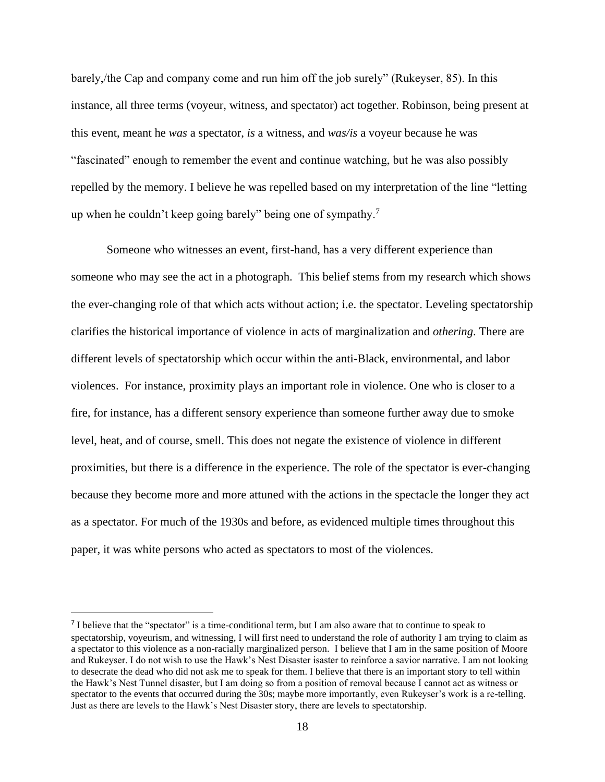barely,/the Cap and company come and run him off the job surely" (Rukeyser, 85). In this instance, all three terms (voyeur, witness, and spectator) act together. Robinson, being present at this event, meant he *was* a spectator, *is* a witness, and *was/is* a voyeur because he was "fascinated" enough to remember the event and continue watching, but he was also possibly repelled by the memory. I believe he was repelled based on my interpretation of the line "letting up when he couldn't keep going barely" being one of sympathy.<sup>7</sup>

Someone who witnesses an event, first-hand, has a very different experience than someone who may see the act in a photograph. This belief stems from my research which shows the ever-changing role of that which acts without action; i.e. the spectator. Leveling spectatorship clarifies the historical importance of violence in acts of marginalization and *othering*. There are different levels of spectatorship which occur within the anti-Black, environmental, and labor violences. For instance, proximity plays an important role in violence. One who is closer to a fire, for instance, has a different sensory experience than someone further away due to smoke level, heat, and of course, smell. This does not negate the existence of violence in different proximities, but there is a difference in the experience. The role of the spectator is ever-changing because they become more and more attuned with the actions in the spectacle the longer they act as a spectator. For much of the 1930s and before, as evidenced multiple times throughout this paper, it was white persons who acted as spectators to most of the violences.

<sup>&</sup>lt;sup>7</sup> I believe that the "spectator" is a time-conditional term, but I am also aware that to continue to speak to spectatorship, voyeurism, and witnessing, I will first need to understand the role of authority I am trying to claim as a spectator to this violence as a non-racially marginalized person. I believe that I am in the same position of Moore and Rukeyser. I do not wish to use the Hawk's Nest Disaster isaster to reinforce a savior narrative. I am not looking to desecrate the dead who did not ask me to speak for them. I believe that there is an important story to tell within the Hawk's Nest Tunnel disaster, but I am doing so from a position of removal because I cannot act as witness or spectator to the events that occurred during the 30s; maybe more importantly, even Rukeyser's work is a re-telling. Just as there are levels to the Hawk's Nest Disaster story, there are levels to spectatorship.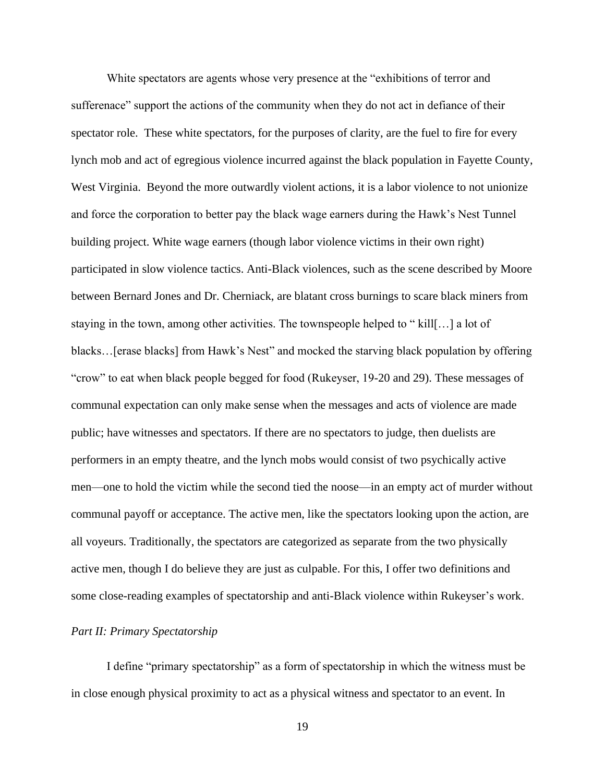White spectators are agents whose very presence at the "exhibitions of terror and sufferenace" support the actions of the community when they do not act in defiance of their spectator role. These white spectators, for the purposes of clarity, are the fuel to fire for every lynch mob and act of egregious violence incurred against the black population in Fayette County, West Virginia. Beyond the more outwardly violent actions, it is a labor violence to not unionize and force the corporation to better pay the black wage earners during the Hawk's Nest Tunnel building project. White wage earners (though labor violence victims in their own right) participated in slow violence tactics. Anti-Black violences, such as the scene described by Moore between Bernard Jones and Dr. Cherniack, are blatant cross burnings to scare black miners from staying in the town, among other activities. The townspeople helped to " kill[…] a lot of blacks…[erase blacks] from Hawk's Nest" and mocked the starving black population by offering "crow" to eat when black people begged for food (Rukeyser, 19-20 and 29). These messages of communal expectation can only make sense when the messages and acts of violence are made public; have witnesses and spectators. If there are no spectators to judge, then duelists are performers in an empty theatre, and the lynch mobs would consist of two psychically active men—one to hold the victim while the second tied the noose—in an empty act of murder without communal payoff or acceptance. The active men, like the spectators looking upon the action, are all voyeurs. Traditionally, the spectators are categorized as separate from the two physically active men, though I do believe they are just as culpable. For this, I offer two definitions and some close-reading examples of spectatorship and anti-Black violence within Rukeyser's work.

#### *Part II: Primary Spectatorship*

I define "primary spectatorship" as a form of spectatorship in which the witness must be in close enough physical proximity to act as a physical witness and spectator to an event. In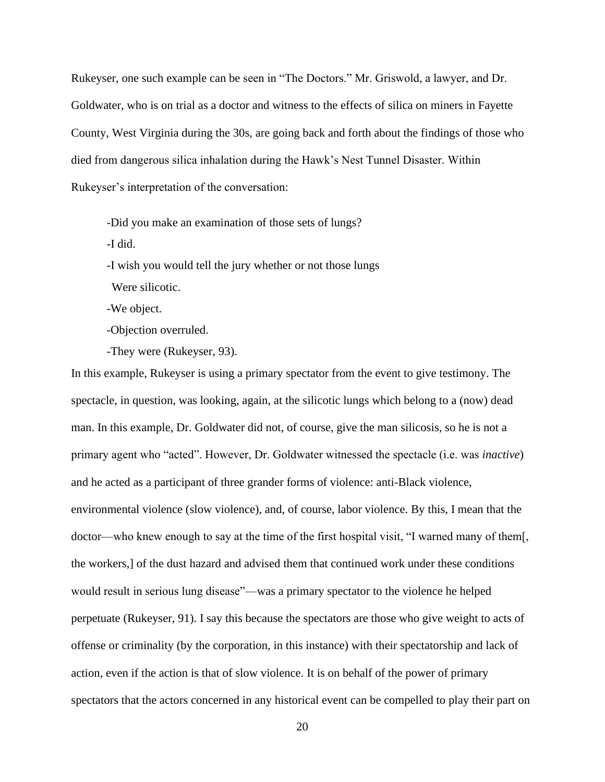Rukeyser, one such example can be seen in "The Doctors." Mr. Griswold, a lawyer, and Dr. Goldwater, who is on trial as a doctor and witness to the effects of silica on miners in Fayette County, West Virginia during the 30s, are going back and forth about the findings of those who died from dangerous silica inhalation during the Hawk's Nest Tunnel Disaster. Within Rukeyser's interpretation of the conversation:

-Did you make an examination of those sets of lungs?

-I did.

-I wish you would tell the jury whether or not those lungs

Were silicotic.

-We object.

-Objection overruled.

-They were (Rukeyser, 93).

In this example, Rukeyser is using a primary spectator from the event to give testimony. The spectacle, in question, was looking, again, at the silicotic lungs which belong to a (now) dead man. In this example, Dr. Goldwater did not, of course, give the man silicosis, so he is not a primary agent who "acted". However, Dr. Goldwater witnessed the spectacle (i.e. was *inactive*) and he acted as a participant of three grander forms of violence: anti-Black violence, environmental violence (slow violence), and, of course, labor violence. By this, I mean that the doctor—who knew enough to say at the time of the first hospital visit, "I warned many of them[, the workers,] of the dust hazard and advised them that continued work under these conditions would result in serious lung disease"—was a primary spectator to the violence he helped perpetuate (Rukeyser, 91). I say this because the spectators are those who give weight to acts of offense or criminality (by the corporation, in this instance) with their spectatorship and lack of action, even if the action is that of slow violence. It is on behalf of the power of primary spectators that the actors concerned in any historical event can be compelled to play their part on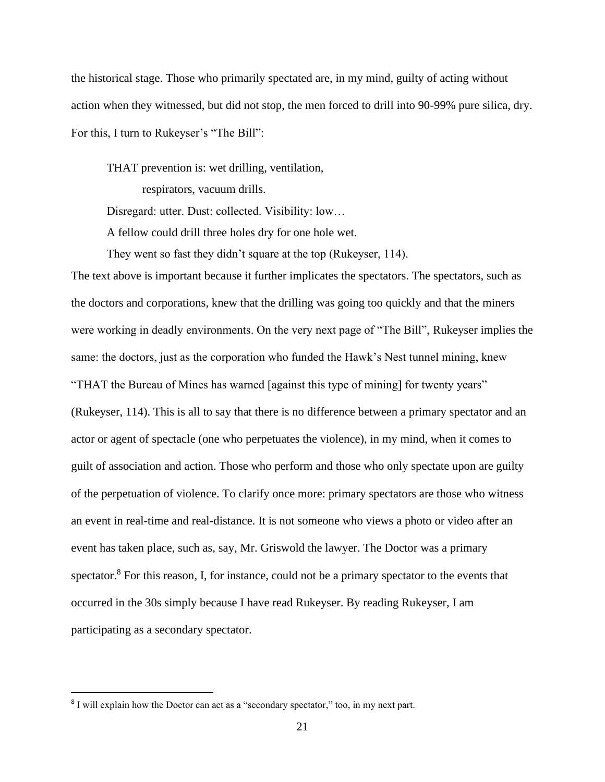the historical stage. Those who primarily spectated are, in my mind, guilty of acting without action when they witnessed, but did not stop, the men forced to drill into 90-99% pure silica, dry. For this, I turn to Rukeyser's "The Bill":

THAT prevention is: wet drilling, ventilation,

respirators, vacuum drills.

Disregard: utter. Dust: collected. Visibility: low…

A fellow could drill three holes dry for one hole wet.

They went so fast they didn't square at the top (Rukeyser, 114).

The text above is important because it further implicates the spectators. The spectators, such as the doctors and corporations, knew that the drilling was going too quickly and that the miners were working in deadly environments. On the very next page of "The Bill", Rukeyser implies the same: the doctors, just as the corporation who funded the Hawk's Nest tunnel mining, knew "THAT the Bureau of Mines has warned [against this type of mining] for twenty years" (Rukeyser, 114). This is all to say that there is no difference between a primary spectator and an actor or agent of spectacle (one who perpetuates the violence), in my mind, when it comes to guilt of association and action. Those who perform and those who only spectate upon are guilty of the perpetuation of violence. To clarify once more: primary spectators are those who witness an event in real-time and real-distance. It is not someone who views a photo or video after an event has taken place, such as, say, Mr. Griswold the lawyer. The Doctor was a primary spectator.<sup>8</sup> For this reason, I, for instance, could not be a primary spectator to the events that occurred in the 30s simply because I have read Rukeyser. By reading Rukeyser, I am participating as a secondary spectator.

<sup>&</sup>lt;sup>8</sup> I will explain how the Doctor can act as a "secondary spectator," too, in my next part.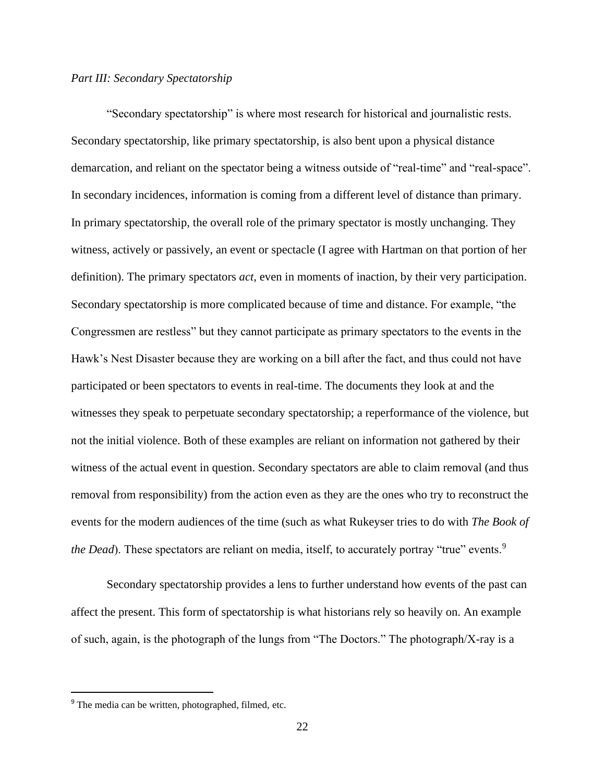#### *Part III: Secondary Spectatorship*

"Secondary spectatorship" is where most research for historical and journalistic rests. Secondary spectatorship, like primary spectatorship, is also bent upon a physical distance demarcation, and reliant on the spectator being a witness outside of "real-time" and "real-space". In secondary incidences, information is coming from a different level of distance than primary. In primary spectatorship, the overall role of the primary spectator is mostly unchanging. They witness, actively or passively, an event or spectacle (I agree with Hartman on that portion of her definition). The primary spectators *act,* even in moments of inaction, by their very participation. Secondary spectatorship is more complicated because of time and distance. For example, "the Congressmen are restless" but they cannot participate as primary spectators to the events in the Hawk's Nest Disaster because they are working on a bill after the fact, and thus could not have participated or been spectators to events in real-time. The documents they look at and the witnesses they speak to perpetuate secondary spectatorship; a reperformance of the violence, but not the initial violence. Both of these examples are reliant on information not gathered by their witness of the actual event in question. Secondary spectators are able to claim removal (and thus removal from responsibility) from the action even as they are the ones who try to reconstruct the events for the modern audiences of the time (such as what Rukeyser tries to do with *The Book of the Dead*). These spectators are reliant on media, itself, to accurately portray "true" events.<sup>9</sup>

Secondary spectatorship provides a lens to further understand how events of the past can affect the present. This form of spectatorship is what historians rely so heavily on. An example of such, again, is the photograph of the lungs from "The Doctors." The photograph/X-ray is a

<sup>9</sup> The media can be written, photographed, filmed, etc.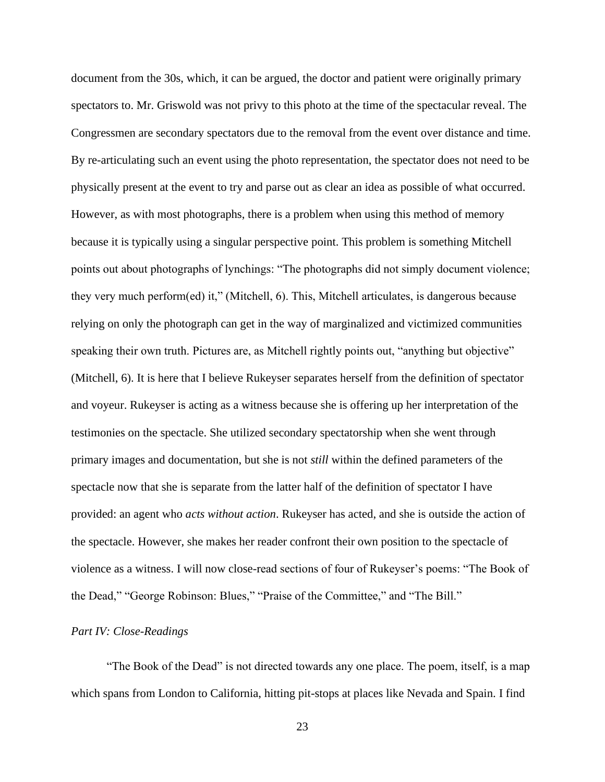document from the 30s, which, it can be argued, the doctor and patient were originally primary spectators to. Mr. Griswold was not privy to this photo at the time of the spectacular reveal. The Congressmen are secondary spectators due to the removal from the event over distance and time. By re-articulating such an event using the photo representation, the spectator does not need to be physically present at the event to try and parse out as clear an idea as possible of what occurred. However, as with most photographs, there is a problem when using this method of memory because it is typically using a singular perspective point. This problem is something Mitchell points out about photographs of lynchings: "The photographs did not simply document violence; they very much perform(ed) it," (Mitchell, 6). This, Mitchell articulates, is dangerous because relying on only the photograph can get in the way of marginalized and victimized communities speaking their own truth. Pictures are, as Mitchell rightly points out, "anything but objective" (Mitchell, 6). It is here that I believe Rukeyser separates herself from the definition of spectator and voyeur. Rukeyser is acting as a witness because she is offering up her interpretation of the testimonies on the spectacle. She utilized secondary spectatorship when she went through primary images and documentation, but she is not *still* within the defined parameters of the spectacle now that she is separate from the latter half of the definition of spectator I have provided: an agent who *acts without action*. Rukeyser has acted, and she is outside the action of the spectacle. However, she makes her reader confront their own position to the spectacle of violence as a witness. I will now close-read sections of four of Rukeyser's poems: "The Book of the Dead," "George Robinson: Blues," "Praise of the Committee," and "The Bill."

#### *Part IV: Close-Readings*

"The Book of the Dead" is not directed towards any one place. The poem, itself, is a map which spans from London to California, hitting pit-stops at places like Nevada and Spain. I find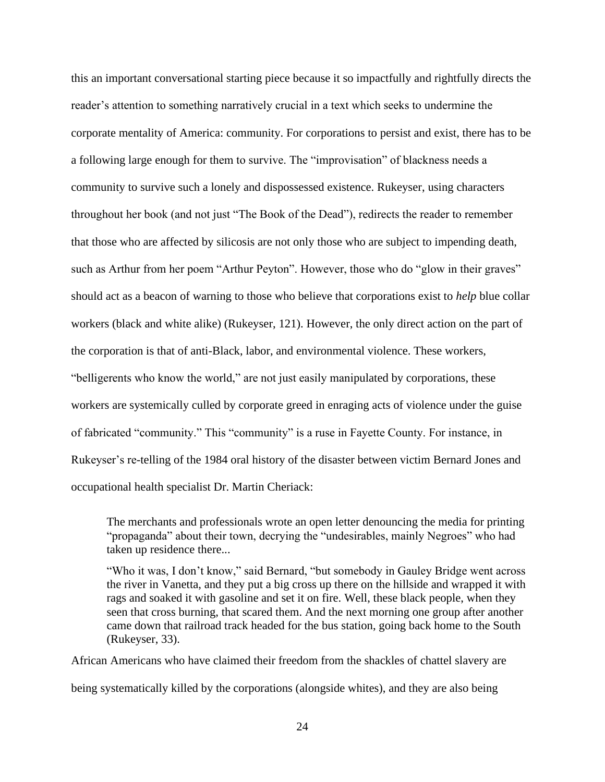this an important conversational starting piece because it so impactfully and rightfully directs the reader's attention to something narratively crucial in a text which seeks to undermine the corporate mentality of America: community. For corporations to persist and exist, there has to be a following large enough for them to survive. The "improvisation" of blackness needs a community to survive such a lonely and dispossessed existence. Rukeyser, using characters throughout her book (and not just "The Book of the Dead"), redirects the reader to remember that those who are affected by silicosis are not only those who are subject to impending death, such as Arthur from her poem "Arthur Peyton". However, those who do "glow in their graves" should act as a beacon of warning to those who believe that corporations exist to *help* blue collar workers (black and white alike) (Rukeyser, 121). However, the only direct action on the part of the corporation is that of anti-Black, labor, and environmental violence. These workers, "belligerents who know the world," are not just easily manipulated by corporations, these workers are systemically culled by corporate greed in enraging acts of violence under the guise of fabricated "community." This "community" is a ruse in Fayette County. For instance, in Rukeyser's re-telling of the 1984 oral history of the disaster between victim Bernard Jones and occupational health specialist Dr. Martin Cheriack:

The merchants and professionals wrote an open letter denouncing the media for printing "propaganda" about their town, decrying the "undesirables, mainly Negroes" who had taken up residence there...

"Who it was, I don't know," said Bernard, "but somebody in Gauley Bridge went across the river in Vanetta, and they put a big cross up there on the hillside and wrapped it with rags and soaked it with gasoline and set it on fire. Well, these black people, when they seen that cross burning, that scared them. And the next morning one group after another came down that railroad track headed for the bus station, going back home to the South (Rukeyser, 33).

African Americans who have claimed their freedom from the shackles of chattel slavery are

being systematically killed by the corporations (alongside whites), and they are also being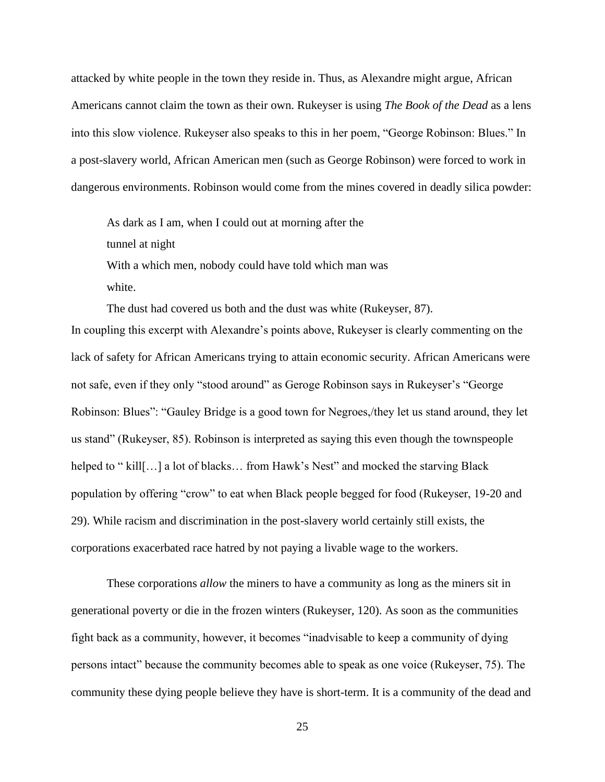attacked by white people in the town they reside in. Thus, as Alexandre might argue, African Americans cannot claim the town as their own. Rukeyser is using *The Book of the Dead* as a lens into this slow violence. Rukeyser also speaks to this in her poem, "George Robinson: Blues." In a post-slavery world, African American men (such as George Robinson) were forced to work in dangerous environments. Robinson would come from the mines covered in deadly silica powder:

As dark as I am, when I could out at morning after the tunnel at night With a which men, nobody could have told which man was white.

The dust had covered us both and the dust was white (Rukeyser, 87). In coupling this excerpt with Alexandre's points above, Rukeyser is clearly commenting on the lack of safety for African Americans trying to attain economic security. African Americans were not safe, even if they only "stood around" as Geroge Robinson says in Rukeyser's "George Robinson: Blues": "Gauley Bridge is a good town for Negroes,/they let us stand around, they let us stand" (Rukeyser, 85). Robinson is interpreted as saying this even though the townspeople helped to " kill[...] a lot of blacks... from Hawk's Nest" and mocked the starving Black population by offering "crow" to eat when Black people begged for food (Rukeyser, 19-20 and 29). While racism and discrimination in the post-slavery world certainly still exists, the corporations exacerbated race hatred by not paying a livable wage to the workers.

These corporations *allow* the miners to have a community as long as the miners sit in generational poverty or die in the frozen winters (Rukeyser, 120). As soon as the communities fight back as a community, however, it becomes "inadvisable to keep a community of dying persons intact" because the community becomes able to speak as one voice (Rukeyser, 75). The community these dying people believe they have is short-term. It is a community of the dead and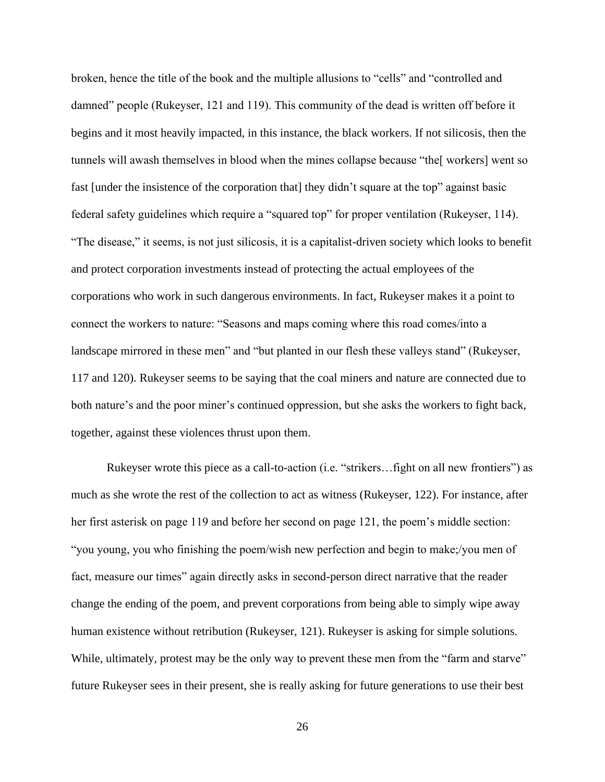broken, hence the title of the book and the multiple allusions to "cells" and "controlled and damned" people (Rukeyser, 121 and 119). This community of the dead is written off before it begins and it most heavily impacted, in this instance, the black workers. If not silicosis, then the tunnels will awash themselves in blood when the mines collapse because "the[ workers] went so fast [under the insistence of the corporation that] they didn't square at the top" against basic federal safety guidelines which require a "squared top" for proper ventilation (Rukeyser, 114). "The disease," it seems, is not just silicosis, it is a capitalist-driven society which looks to benefit and protect corporation investments instead of protecting the actual employees of the corporations who work in such dangerous environments. In fact, Rukeyser makes it a point to connect the workers to nature: "Seasons and maps coming where this road comes/into a landscape mirrored in these men" and "but planted in our flesh these valleys stand" (Rukeyser, 117 and 120). Rukeyser seems to be saying that the coal miners and nature are connected due to both nature's and the poor miner's continued oppression, but she asks the workers to fight back, together, against these violences thrust upon them.

Rukeyser wrote this piece as a call-to-action (i.e. "strikers…fight on all new frontiers") as much as she wrote the rest of the collection to act as witness (Rukeyser, 122). For instance, after her first asterisk on page 119 and before her second on page 121, the poem's middle section: "you young, you who finishing the poem/wish new perfection and begin to make;/you men of fact, measure our times" again directly asks in second-person direct narrative that the reader change the ending of the poem, and prevent corporations from being able to simply wipe away human existence without retribution (Rukeyser, 121). Rukeyser is asking for simple solutions. While, ultimately, protest may be the only way to prevent these men from the "farm and starve" future Rukeyser sees in their present, she is really asking for future generations to use their best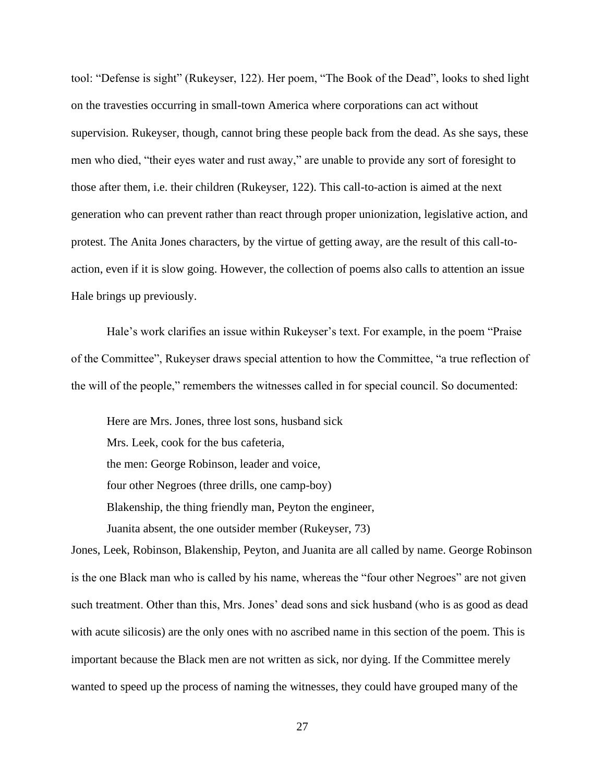tool: "Defense is sight" (Rukeyser, 122). Her poem, "The Book of the Dead", looks to shed light on the travesties occurring in small-town America where corporations can act without supervision. Rukeyser, though, cannot bring these people back from the dead. As she says, these men who died, "their eyes water and rust away," are unable to provide any sort of foresight to those after them, i.e. their children (Rukeyser, 122). This call-to-action is aimed at the next generation who can prevent rather than react through proper unionization, legislative action, and protest. The Anita Jones characters, by the virtue of getting away, are the result of this call-toaction, even if it is slow going. However, the collection of poems also calls to attention an issue Hale brings up previously.

Hale's work clarifies an issue within Rukeyser's text. For example, in the poem "Praise of the Committee", Rukeyser draws special attention to how the Committee, "a true reflection of the will of the people," remembers the witnesses called in for special council. So documented:

Here are Mrs. Jones, three lost sons, husband sick Mrs. Leek, cook for the bus cafeteria, the men: George Robinson, leader and voice, four other Negroes (three drills, one camp-boy) Blakenship, the thing friendly man, Peyton the engineer, Juanita absent, the one outsider member (Rukeyser, 73)

Jones, Leek, Robinson, Blakenship, Peyton, and Juanita are all called by name. George Robinson is the one Black man who is called by his name, whereas the "four other Negroes" are not given such treatment. Other than this, Mrs. Jones' dead sons and sick husband (who is as good as dead with acute silicosis) are the only ones with no ascribed name in this section of the poem. This is important because the Black men are not written as sick, nor dying. If the Committee merely wanted to speed up the process of naming the witnesses, they could have grouped many of the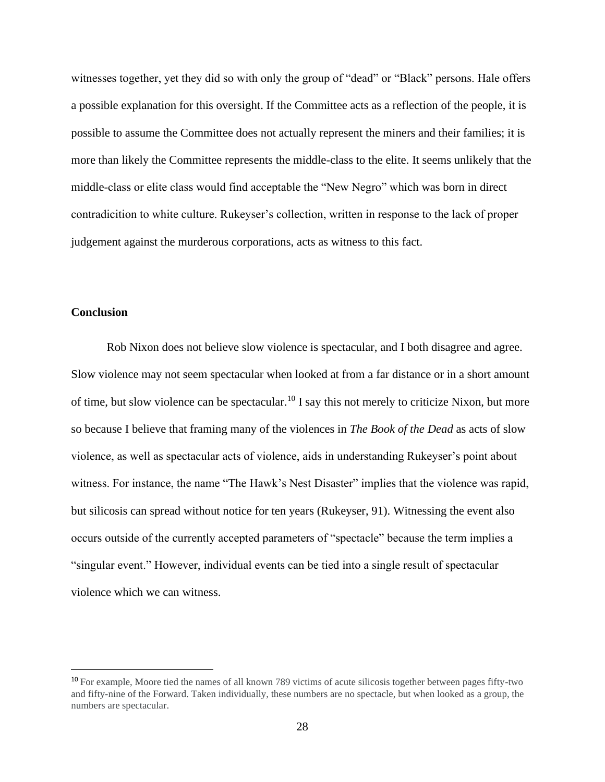witnesses together, yet they did so with only the group of "dead" or "Black" persons. Hale offers a possible explanation for this oversight. If the Committee acts as a reflection of the people, it is possible to assume the Committee does not actually represent the miners and their families; it is more than likely the Committee represents the middle-class to the elite. It seems unlikely that the middle-class or elite class would find acceptable the "New Negro" which was born in direct contradicition to white culture. Rukeyser's collection, written in response to the lack of proper judgement against the murderous corporations, acts as witness to this fact.

#### **Conclusion**

Rob Nixon does not believe slow violence is spectacular, and I both disagree and agree. Slow violence may not seem spectacular when looked at from a far distance or in a short amount of time, but slow violence can be spectacular.<sup>10</sup> I say this not merely to criticize Nixon, but more so because I believe that framing many of the violences in *The Book of the Dead* as acts of slow violence, as well as spectacular acts of violence, aids in understanding Rukeyser's point about witness. For instance, the name "The Hawk's Nest Disaster" implies that the violence was rapid, but silicosis can spread without notice for ten years (Rukeyser, 91). Witnessing the event also occurs outside of the currently accepted parameters of "spectacle" because the term implies a "singular event." However, individual events can be tied into a single result of spectacular violence which we can witness.

<sup>10</sup> For example, Moore tied the names of all known 789 victims of acute silicosis together between pages fifty-two and fifty-nine of the Forward. Taken individually, these numbers are no spectacle, but when looked as a group, the numbers are spectacular.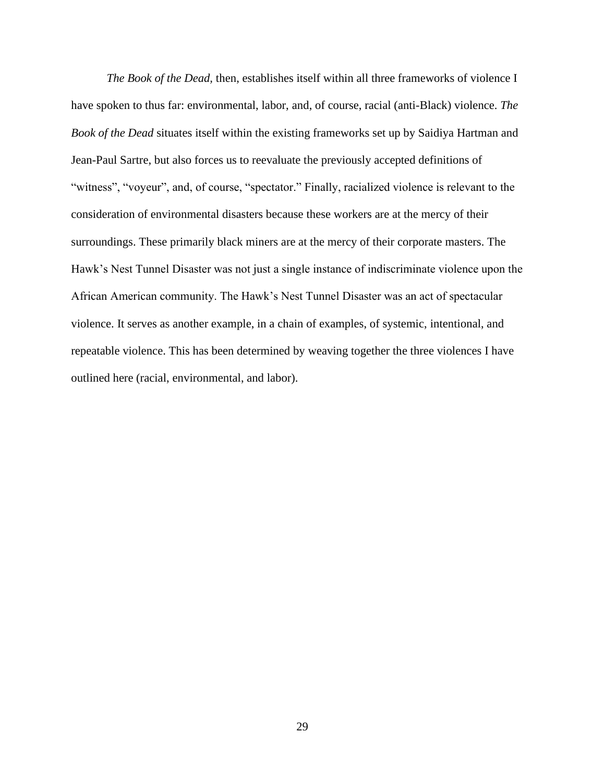*The Book of the Dead,* then, establishes itself within all three frameworks of violence I have spoken to thus far: environmental, labor, and, of course, racial (anti-Black) violence. *The Book of the Dead* situates itself within the existing frameworks set up by Saidiya Hartman and Jean-Paul Sartre, but also forces us to reevaluate the previously accepted definitions of "witness", "voyeur", and, of course, "spectator." Finally, racialized violence is relevant to the consideration of environmental disasters because these workers are at the mercy of their surroundings. These primarily black miners are at the mercy of their corporate masters. The Hawk's Nest Tunnel Disaster was not just a single instance of indiscriminate violence upon the African American community. The Hawk's Nest Tunnel Disaster was an act of spectacular violence. It serves as another example, in a chain of examples, of systemic, intentional, and repeatable violence. This has been determined by weaving together the three violences I have outlined here (racial, environmental, and labor).